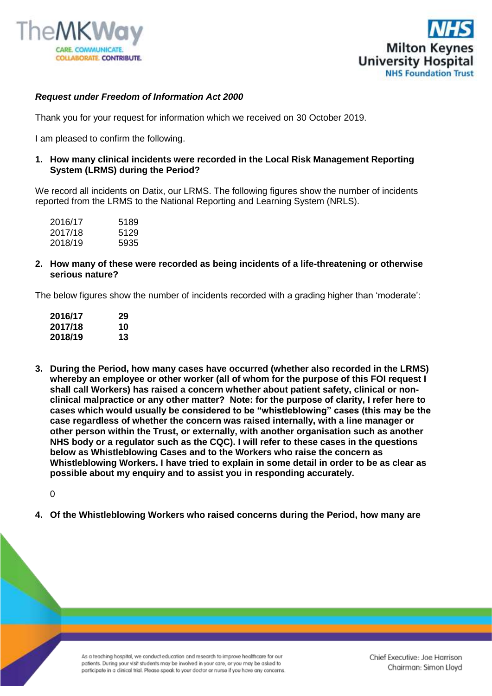



## *Request under Freedom of Information Act 2000*

Thank you for your request for information which we received on 30 October 2019.

I am pleased to confirm the following.

**1. How many clinical incidents were recorded in the Local Risk Management Reporting System (LRMS) during the Period?**

We record all incidents on Datix, our LRMS. The following figures show the number of incidents reported from the LRMS to the National Reporting and Learning System (NRLS).

| 2016/17 | 5189 |
|---------|------|
| 2017/18 | 5129 |
| 2018/19 | 5935 |

**2. How many of these were recorded as being incidents of a life-threatening or otherwise serious nature?**

The below figures show the number of incidents recorded with a grading higher than 'moderate':

| 2016/17 | 29 |
|---------|----|
| 2017/18 | 10 |
| 2018/19 | 13 |

**3. During the Period, how many cases have occurred (whether also recorded in the LRMS) whereby an employee or other worker (all of whom for the purpose of this FOI request I shall call Workers) has raised a concern whether about patient safety, clinical or nonclinical malpractice or any other matter? Note: for the purpose of clarity, I refer here to cases which would usually be considered to be "whistleblowing" cases (this may be the case regardless of whether the concern was raised internally, with a line manager or other person within the Trust, or externally, with another organisation such as another NHS body or a regulator such as the CQC). I will refer to these cases in the questions below as Whistleblowing Cases and to the Workers who raise the concern as Whistleblowing Workers. I have tried to explain in some detail in order to be as clear as possible about my enquiry and to assist you in responding accurately.**

 $\Omega$ 

**4. Of the Whistleblowing Workers who raised concerns during the Period, how many are** 

As a teaching hospital, we conduct education and research to improve healthcare for our patients. During your visit students may be involved in your care, or you may be asked to participate in a clinical trial. Please speak to your doctor or nurse if you have any concerns.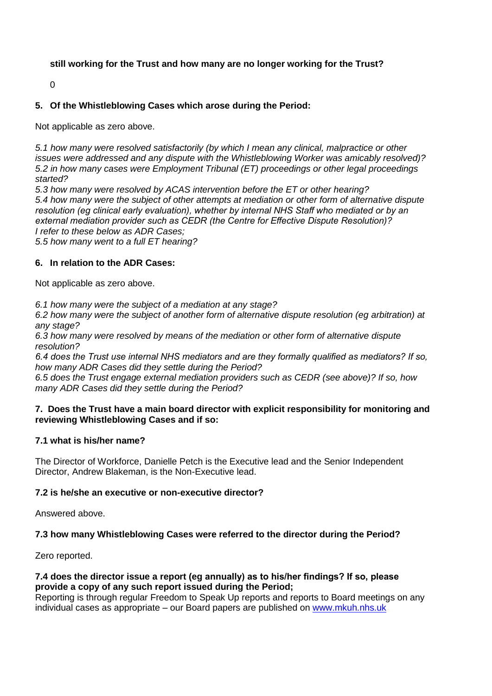# **still working for the Trust and how many are no longer working for the Trust?**

0

## **5. Of the Whistleblowing Cases which arose during the Period:**

Not applicable as zero above.

*5.1 how many were resolved satisfactorily (by which I mean any clinical, malpractice or other issues were addressed and any dispute with the Whistleblowing Worker was amicably resolved)? 5.2 in how many cases were Employment Tribunal (ET) proceedings or other legal proceedings started?*

*5.3 how many were resolved by ACAS intervention before the ET or other hearing? 5.4 how many were the subject of other attempts at mediation or other form of alternative dispute resolution (eg clinical early evaluation), whether by internal NHS Staff who mediated or by an external mediation provider such as CEDR (the Centre for Effective Dispute Resolution)? I refer to these below as ADR Cases;*

*5.5 how many went to a full ET hearing?*

#### **6. In relation to the ADR Cases:**

Not applicable as zero above.

*6.1 how many were the subject of a mediation at any stage?*

*6.2 how many were the subject of another form of alternative dispute resolution (eg arbitration) at any stage?*

*6.3 how many were resolved by means of the mediation or other form of alternative dispute resolution?*

*6.4 does the Trust use internal NHS mediators and are they formally qualified as mediators? If so, how many ADR Cases did they settle during the Period?*

*6.5 does the Trust engage external mediation providers such as CEDR (see above)? If so, how many ADR Cases did they settle during the Period?*

### **7. Does the Trust have a main board director with explicit responsibility for monitoring and reviewing Whistleblowing Cases and if so:**

### **7.1 what is his/her name?**

The Director of Workforce, Danielle Petch is the Executive lead and the Senior Independent Director, Andrew Blakeman, is the Non-Executive lead.

### **7.2 is he/she an executive or non-executive director?**

Answered above.

### **7.3 how many Whistleblowing Cases were referred to the director during the Period?**

Zero reported.

#### **7.4 does the director issue a report (eg annually) as to his/her findings? If so, please provide a copy of any such report issued during the Period;**

Reporting is through regular Freedom to Speak Up reports and reports to Board meetings on any individual cases as appropriate – our Board papers are published on [www.mkuh.nhs.uk](http://www.mkuh.nhs.uk/)